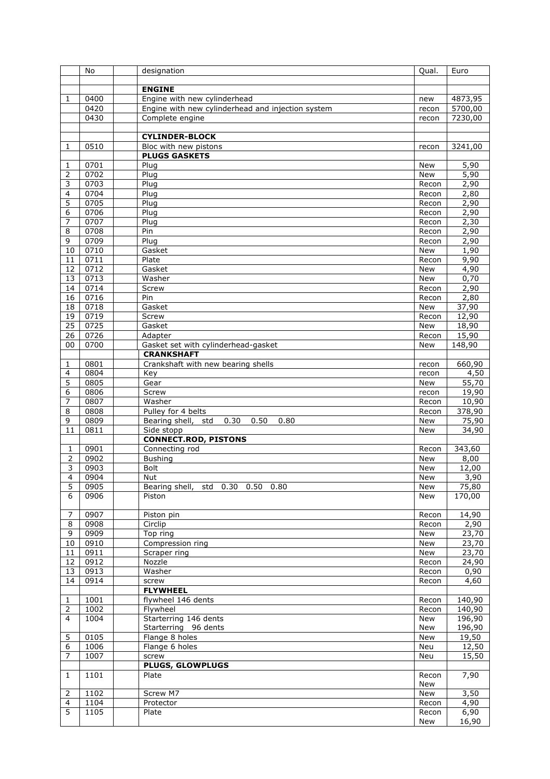|                 | No           | designation                                       | Qual.          | Euro             |
|-----------------|--------------|---------------------------------------------------|----------------|------------------|
|                 |              |                                                   |                |                  |
|                 |              | <b>ENGINE</b>                                     |                |                  |
| 1               | 0400         | Engine with new cylinderhead                      | new            | 4873,95          |
|                 | 0420         | Engine with new cylinderhead and injection system | recon          | 5700,00          |
|                 | 0430         | Complete engine                                   | recon          | 7230,00          |
|                 |              |                                                   |                |                  |
|                 |              | <b>CYLINDER-BLOCK</b>                             |                |                  |
| 1               | 0510         | Bloc with new pistons                             | recon          | 3241,00          |
|                 |              | <b>PLUGS GASKETS</b>                              |                |                  |
| 1               | 0701         | Plug                                              | New            | 5,90             |
| 2               | 0702         | Plug                                              | New            | $\frac{1}{5,90}$ |
| 3               | 0703         | Plug                                              | Recon          | 2,90             |
| 4               | 0704         | Plug                                              | Recon          | 2,80             |
| 5               | 0705         | Plug                                              | Recon          | 2,90             |
| 6               | 0706         | Plug                                              | Recon          | 2,90             |
| 7<br>8          | 0707<br>0708 | Plug<br>Pin                                       | Recon<br>Recon | 2,30             |
|                 | 0709         |                                                   |                | 2,90<br>2,90     |
| 9               | 0710         | Plug<br>Gasket                                    | Recon<br>New   | 1,90             |
| 10<br>11        | 0711         | Plate                                             | Recon          | 9,90             |
| 12              | 0712         | Gasket                                            | New            | 4,90             |
| 13              | 0713         | Washer                                            | <b>New</b>     | 0,70             |
| 14              | 0714         | Screw                                             | Recon          | 2,90             |
| 16              | 0716         | Pin                                               | Recon          | 2,80             |
| 18              | 0718         | Gasket                                            | New            | 37,90            |
| $\overline{19}$ | 0719         | Screw                                             | Recon          | 12,90            |
| $\overline{25}$ | 0725         | Gasket                                            | New            | 18,90            |
| 26              | 0726         | Adapter                                           | Recon          | 15,90            |
| 00              | 0700         | Gasket set with cylinderhead-gasket               | <b>New</b>     | 148,90           |
|                 |              | <b>CRANKSHAFT</b>                                 |                |                  |
| $\mathbf{1}$    | 0801         | Crankshaft with new bearing shells                | recon          | 660,90           |
| 4               | 0804         | Key                                               | recon          | 4,50             |
| 5               | 0805         | Gear                                              | New            | 55,70            |
| 6               | 0806         | Screw                                             | recon          | 19,90            |
| 7               | 0807         | Washer                                            | Recon          | 10,90            |
| 8               | 0808         | Pulley for 4 belts                                | Recon          | 378,90           |
| 9               | 0809         | Bearing shell, std<br>0.30<br>0.50<br>0.80        | <b>New</b>     | 75,90            |
| 11              | 0811         | Side stopp                                        | <b>New</b>     | 34,90            |
|                 |              | <b>CONNECT.ROD, PISTONS</b>                       |                |                  |
| $\mathbf{1}$    | 0901         | Connecting rod                                    | Recon          | 343,60           |
| 2               | 0902         | <b>Bushing</b>                                    | <b>New</b>     | 8,00             |
| 3               | 0903         | <b>Bolt</b>                                       | New            | 12,00            |
| $\overline{4}$  | 0904         | Nut                                               | <b>New</b>     | 3,90             |
| 5               | 0905         | Bearing shell, std 0.30 0.50 0.80                 | New            | 75,80            |
| 6               | 0906         | Piston                                            | New            | 170,00           |
|                 |              |                                                   |                |                  |
| 7               | 0907         | Piston pin                                        | Recon          | 14,90            |
| 8               | 0908         | Circlip                                           | Recon          | 2,90             |
| 9               | 0909         | Top ring                                          | New            | 23,70            |
| 10              | 0910         | Compression ring                                  | New            | 23,70            |
| 11              | 0911         | Scraper ring                                      | New            | 23,70            |
| 12              | 0912         | Nozzle                                            | Recon          | 24,90            |
| 13              | 0913         | Washer                                            | Recon          | 0,90             |
| 14              | 0914         | screw                                             | Recon          | 4,60             |
|                 |              | <b>FLYWHEEL</b>                                   |                |                  |
| 1               | 1001         | flywheel 146 dents                                | Recon          | 140,90           |
| $\overline{2}$  | 1002         | Flywheel                                          | Recon          | 140,90           |
| $\overline{4}$  | 1004         | Starterring 146 dents                             | New            | 196,90           |
|                 |              | Starterring 96 dents                              | New            | 196,90           |
| 5               | 0105         | Flange 8 holes                                    | New            | 19,50            |
| 6               | 1006         | Flange 6 holes                                    | Neu            | 12,50            |
| 7               | 1007         | screw                                             | Neu            | 15,50            |
|                 |              | <b>PLUGS, GLOWPLUGS</b>                           |                |                  |
| $\mathbf{1}$    | 1101         | Plate                                             | Recon          | 7,90             |
|                 |              |                                                   | New            |                  |
| 2               | 1102         | Screw M7                                          | New            | 3,50             |
| 4               | 1104         | Protector                                         | Recon          | 4,90             |
| 5               | 1105         | Plate                                             | Recon          | 6,90             |
|                 |              |                                                   | New            | 16,90            |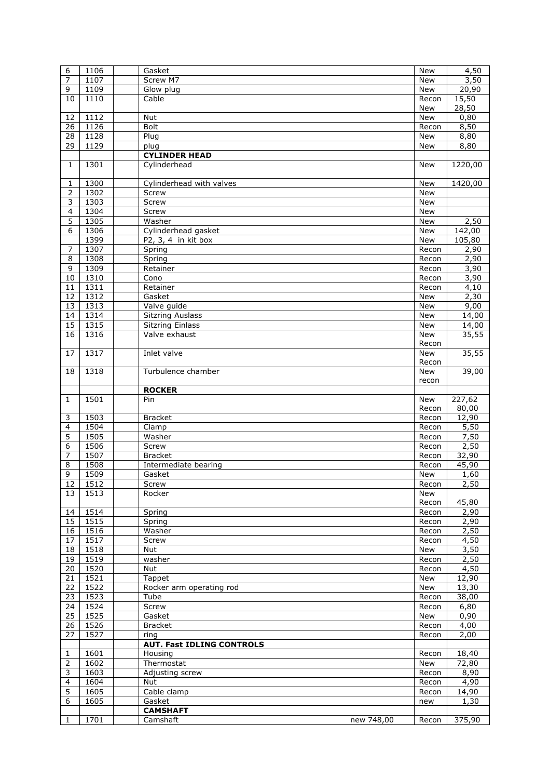| 6                       | 1106 | Gasket                                    | <b>New</b>   | 4,50             |
|-------------------------|------|-------------------------------------------|--------------|------------------|
| $\overline{7}$          | 1107 | Screw M7                                  | <b>New</b>   | 3,50             |
| 9                       | 1109 | Glow plug                                 | <b>New</b>   | 20,90            |
| 10                      | 1110 | Cable                                     | Recon        | 15,50            |
|                         |      |                                           | New          | 28,50            |
| 12                      | 1112 | Nut                                       | New          | 0,80             |
| 26                      | 1126 | Bolt                                      | Recon        | 8,50             |
| 28                      | 1128 | Plug                                      | <b>New</b>   | 8,80             |
| $\overline{29}$         | 1129 | plug                                      | New          | 8,80             |
|                         |      | <b>CYLINDER HEAD</b>                      |              |                  |
| $\mathbf{1}$            | 1301 | Cylinderhead                              | <b>New</b>   | 1220,00          |
|                         |      |                                           |              |                  |
| 1                       | 1300 | Cylinderhead with valves                  | <b>New</b>   | 1420,00          |
| 2                       | 1302 | Screw                                     | <b>New</b>   |                  |
| 3                       | 1303 | Screw                                     | New          |                  |
| $\overline{\mathbf{4}}$ | 1304 | Screw                                     | New          |                  |
| 5                       | 1305 | Washer                                    | New          | 2,50             |
| 6                       | 1306 | Cylinderhead gasket                       | <b>New</b>   | 142,00           |
|                         | 1399 | P2, 3, 4 in kit box                       | <b>New</b>   | 105,80           |
| 7                       | 1307 | Spring                                    | Recon        | 2,90             |
| $\overline{8}$          | 1308 | Spring                                    | Recon        | 2,90             |
| 9                       | 1309 | Retainer                                  | Recon        | 3,90             |
| 10                      | 1310 | Cono                                      | Recon        | 3,90             |
| 11                      | 1311 | Retainer                                  | Recon        | 4,10             |
| 12                      | 1312 | Gasket                                    | <b>New</b>   | 2,30             |
| 13                      | 1313 | Valve guide                               | <b>New</b>   | $\frac{1}{9,00}$ |
| 14                      | 1314 | <b>Sitzring Auslass</b>                   | New          | 14,00            |
| 15                      | 1315 | Sitzring Einlass                          | New          | 14,00            |
| 16                      | 1316 | Valve exhaust                             | <b>New</b>   | 35,55            |
|                         |      |                                           | Recon        |                  |
| 17                      | 1317 | Inlet valve                               | <b>New</b>   | 35,55            |
|                         |      |                                           | Recon        |                  |
| 18                      | 1318 | Turbulence chamber                        | New          | 39,00            |
|                         |      | <b>ROCKER</b>                             | recon        |                  |
| 1                       | 1501 | Pin                                       | New          | 227,62           |
|                         |      |                                           | Recon        | 80,00            |
| 3                       | 1503 | <b>Bracket</b>                            | Recon        | 12,90            |
| 4                       | 1504 | Clamp                                     | Recon        | 5,50             |
| 5                       | 1505 | Washer                                    | Recon        | 7.50             |
| 6                       | 1506 | Screw                                     | Recon        | 2,50             |
| 7                       | 1507 | <b>Bracket</b>                            | Recon        | 32,90            |
| 8                       | 1508 | Intermediate bearing                      | Recon        | 45,90            |
| 9                       | 1509 |                                           |              |                  |
| 12                      | 1512 |                                           |              |                  |
| 13                      |      | Gasket                                    | <b>New</b>   | 1,60             |
|                         | 1513 | Screw<br>Rocker                           | Recon<br>New | 2,50             |
|                         |      |                                           | Recon        | 45,80            |
| 14                      | 1514 | Spring                                    | Recon        | 2,90             |
| 15                      | 1515 | Spring                                    | Recon        | 2,90             |
| 16                      | 1516 | Washer                                    | Recon        | 2,50             |
| 17                      | 1517 | Screw                                     | Recon        | 4,50             |
| 18                      | 1518 | <b>Nut</b>                                | New          | 3,50             |
| 19                      | 1519 | washer                                    | Recon        | 2,50             |
| 20                      | 1520 | Nut                                       | Recon        | 4,50             |
| 21                      | 1521 | Tappet                                    | New          | 12,90            |
| 22                      | 1522 | Rocker arm operating rod                  | New          | 13,30            |
| 23                      | 1523 | Tube                                      | Recon        | 38,00            |
| 24                      | 1524 | Screw                                     | Recon        | 6,80             |
| 25                      | 1525 | Gasket                                    | New          | 0,90             |
| 26                      | 1526 | <b>Bracket</b>                            | Recon        | 4,00             |
| 27                      | 1527 | ring                                      | Recon        | 2,00             |
|                         |      | <b>AUT. Fast IDLING CONTROLS</b>          |              |                  |
| 1                       | 1601 | Housing                                   | Recon        | 18,40            |
| $\overline{2}$          | 1602 | Thermostat                                | New          | 72,80            |
| 3                       | 1603 | Adjusting screw                           | Recon        | 8,90             |
| 4                       | 1604 | Nut                                       | Recon        | 4,90             |
| 5                       | 1605 | Cable clamp                               | Recon        | 14,90            |
| 6                       | 1605 | Gasket                                    | new          | 1,30             |
| 1                       | 1701 | <b>CAMSHAFT</b><br>Camshaft<br>new 748,00 | Recon        | 375,90           |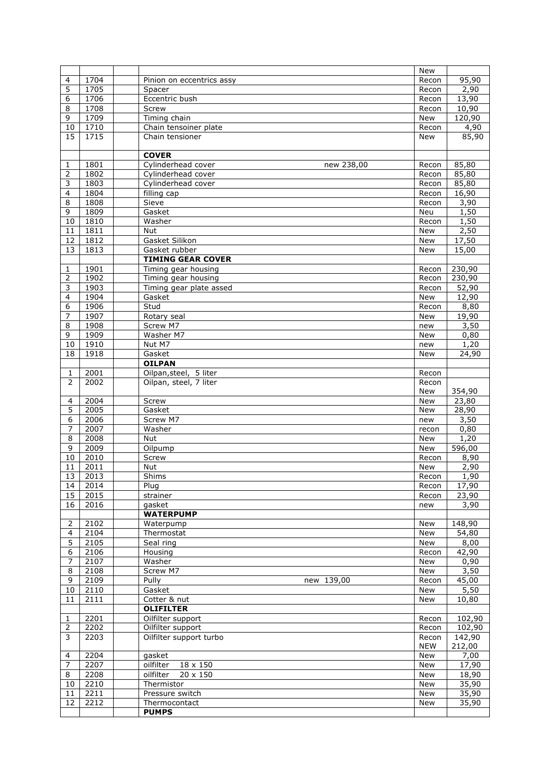|                |      |                                  | <b>New</b> |        |
|----------------|------|----------------------------------|------------|--------|
| 4              | 1704 | Pinion on eccentrics assy        | Recon      | 95,90  |
| 5              | 1705 | Spacer                           | Recon      | 2,90   |
| 6              | 1706 | Eccentric bush                   | Recon      | 13,90  |
| 8              | 1708 | Screw                            | Recon      | 10,90  |
| 9              | 1709 | Timing chain                     | New        | 120,90 |
| 10             | 1710 | Chain tensoiner plate            | Recon      | 4,90   |
| 15             | 1715 | Chain tensioner                  | New        | 85,90  |
|                |      |                                  |            |        |
|                |      | <b>COVER</b>                     |            |        |
| 1              | 1801 | Cylinderhead cover<br>new 238,00 | Recon      | 85,80  |
| 2              | 1802 | Cylinderhead cover               | Recon      | 85,80  |
| 3              | 1803 | Cylinderhead cover               | Recon      | 85,80  |
| 4              | 1804 | filling cap                      | Recon      | 16,90  |
| 8              | 1808 | Sieve                            | Recon      | 3,90   |
| $\overline{9}$ | 1809 | Gasket                           | Neu        | 1,50   |
| 10             | 1810 | Washer                           | Recon      | 1,50   |
| 11             | 1811 | <b>Nut</b>                       | New        | 2,50   |
| 12             | 1812 | Gasket Silikon                   | New        | 17,50  |
|                |      |                                  |            |        |
| 13             | 1813 | Gasket rubber                    | <b>New</b> | 15,00  |
|                |      | <b>TIMING GEAR COVER</b>         |            |        |
| 1              | 1901 | Timing gear housing              | Recon      | 230,90 |
| 2              | 1902 | Timing gear housing              | Recon      | 230,90 |
| 3              | 1903 | Timing gear plate assed          | Recon      | 52,90  |
| 4              | 1904 | Gasket                           | New        | 12,90  |
| 6              | 1906 | Stud                             | Recon      | 8,80   |
| $\overline{7}$ | 1907 | Rotary seal                      | <b>New</b> | 19,90  |
| 8              | 1908 | Screw M7                         | new        | 3,50   |
| 9              | 1909 | Washer M7                        | <b>New</b> | 0,80   |
| 10             | 1910 | Nut M7                           | new        | 1,20   |
| 18             | 1918 | Gasket                           | <b>New</b> | 24,90  |
|                |      | <b>OILPAN</b>                    |            |        |
| $\mathbf{1}$   | 2001 | Oilpan, steel, 5 liter           | Recon      |        |
| $\overline{2}$ | 2002 | Oilpan, steel, 7 liter           | Recon      |        |
|                |      |                                  | New        | 354,90 |
| 4              | 2004 | Screw                            | <b>New</b> | 23,80  |
| 5              | 2005 | Gasket                           | <b>New</b> | 28,90  |
| 6              | 2006 | Screw M7                         | new        | 3,50   |
| $\overline{7}$ | 2007 | Washer                           | recon      | 0,80   |
| 8              | 2008 | Nut                              | New        | 1,20   |
| 9              | 2009 | Oilpump                          | New        | 596,00 |
| 10             | 2010 | Screw                            | Recon      | 8,90   |
| 11             | 2011 | Nut                              | New        | 2,90   |
| 13             | 2013 | Shims                            | Recon      | 1,90   |
| 14             | 2014 | Plug                             | Recon      | 17,90  |
| 15             | 2015 | strainer                         | Recon      | 23,90  |
| 16             | 2016 | gasket                           | new        | 3,90   |
|                |      | <b>WATERPUMP</b>                 |            |        |
| 2              | 2102 | Waterpump                        | New        | 148,90 |
| 4              | 2104 | Thermostat                       | New        | 54,80  |
| 5              | 2105 | Seal ring                        | New        | 8,00   |
| 6              | 2106 | Housing                          | Recon      | 42,90  |
| 7              | 2107 | Washer                           | New        | 0,90   |
| 8              | 2108 | Screw M7                         | New        | 3,50   |
| 9              | 2109 | Pully<br>new 139,00              | Recon      | 45,00  |
| 10             | 2110 | Gasket                           |            | 5,50   |
|                |      |                                  | New        |        |
| 11             | 2111 | Cotter & nut                     | New        | 10,80  |
|                |      | <b>OLIFILTER</b>                 |            |        |
| 1              | 2201 | Oilfilter support                | Recon      | 102,90 |
| 2              | 2202 | Oilfilter support                | Recon      | 102,90 |
| 3              | 2203 | Oilfilter support turbo          | Recon      | 142,90 |
|                |      |                                  | <b>NEW</b> | 212,00 |
| 4              | 2204 | gasket                           | New        | 7,00   |
| 7              | 2207 | oilfilter<br>18 x 150            | New        | 17,90  |
| 8              | 2208 | oilfilter<br>20 x 150            | <b>New</b> | 18,90  |
| 10             | 2210 | Thermistor                       | New        | 35,90  |
| 11             | 2211 | Pressure switch                  | New        | 35,90  |
| 12             | 2212 | Thermocontact                    | New        | 35,90  |
|                |      | <b>PUMPS</b>                     |            |        |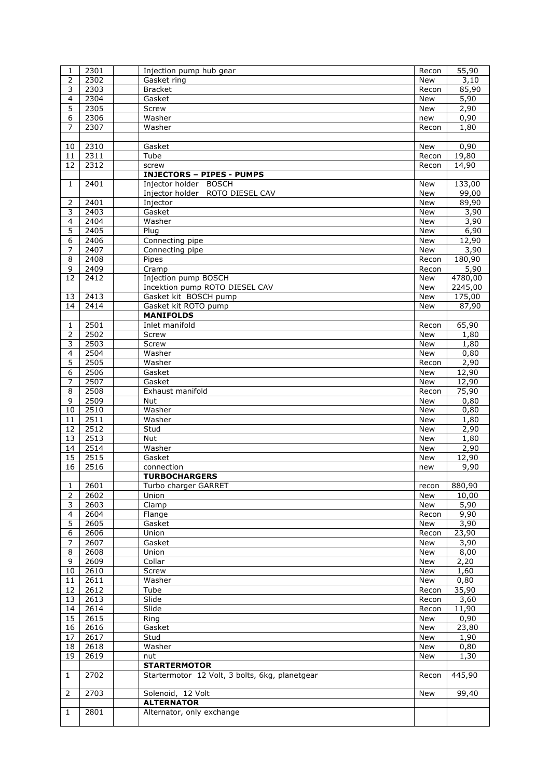| 1              | 2301 | Injection pump hub gear                        | Recon      | 55,90   |
|----------------|------|------------------------------------------------|------------|---------|
| 2              | 2302 | Gasket ring                                    | <b>New</b> | 3,10    |
| 3              | 2303 | <b>Bracket</b>                                 | Recon      | 85,90   |
| $\overline{4}$ | 2304 | Gasket                                         | <b>New</b> | 5,90    |
| 5              | 2305 | Screw                                          | <b>New</b> | 2,90    |
| 6              | 2306 | Washer                                         | new        | 0,90    |
| 7              | 2307 | Washer                                         | Recon      | 1,80    |
|                |      |                                                |            |         |
| 10             | 2310 | Gasket                                         | New        | 0,90    |
| 11             | 2311 | Tube                                           | Recon      | 19,80   |
| 12             | 2312 | screw                                          | Recon      | 14,90   |
|                |      |                                                |            |         |
|                |      | <b>INJECTORS - PIPES - PUMPS</b>               |            |         |
| 1              | 2401 | Injector holder BOSCH                          | New        | 133,00  |
|                |      | Injector holder ROTO DIESEL CAV                | New        | 99,00   |
| 2              | 2401 | Injector                                       | New        | 89,90   |
| 3              | 2403 | Gasket                                         | <b>New</b> | 3,90    |
| 4              | 2404 | Washer                                         | New        | 3,90    |
| $\overline{5}$ | 2405 | Plug                                           | <b>New</b> | 6,90    |
| 6              | 2406 | Connecting pipe                                | New        | 12,90   |
| 7              | 2407 | Connecting pipe                                | New        | 3,90    |
| 8              | 2408 | Pipes                                          | Recon      | 180,90  |
| 9              | 2409 | Cramp                                          | Recon      | 5,90    |
| 12             | 2412 | Injection pump BOSCH                           | New        | 4780,00 |
|                |      | Incektion pump ROTO DIESEL CAV                 | New        | 2245,00 |
| 13             | 2413 | Gasket kit BOSCH pump                          | <b>New</b> | 175,00  |
| 14             | 2414 | Gasket kit ROTO pump                           | New        | 87,90   |
|                |      | <b>MANIFOLDS</b>                               |            |         |
|                |      |                                                |            |         |
| 1              | 2501 | Inlet manifold                                 | Recon      | 65,90   |
| 2              | 2502 | Screw                                          | <b>New</b> | 1,80    |
| 3              | 2503 | Screw                                          | New        | 1,80    |
| 4              | 2504 | Washer                                         | New        | 0,80    |
| 5              | 2505 | Washer                                         | Recon      | 2,90    |
| 6              | 2506 | Gasket                                         | <b>New</b> | 12,90   |
| $\overline{7}$ | 2507 | Gasket                                         | New        | 12,90   |
| 8              | 2508 | Exhaust manifold                               | Recon      | 75,90   |
| 9              | 2509 | Nut                                            | <b>New</b> | 0,80    |
| 10             | 2510 | Washer                                         | New        | 0,80    |
| 11             | 2511 | Washer                                         | <b>New</b> | 1,80    |
| 12             |      |                                                |            |         |
|                |      |                                                |            |         |
|                | 2512 | Stud                                           | <b>New</b> | 2,90    |
| 13             | 2513 | Nut                                            | <b>New</b> | 1,80    |
| 14             | 2514 | Washer                                         | New        | 2,90    |
| 15             | 2515 | Gasket                                         | New        | 12,90   |
| 16             | 2516 | connection                                     | new        | 9,90    |
|                |      | <b>TURBOCHARGERS</b>                           |            |         |
| 1              | 2601 | Turbo charger GARRET                           | recon      | 880,90  |
| 2              | 2602 | Union                                          | New        | 10,00   |
| 3              | 2603 | Clamp                                          | New        | 5,90    |
| 4              | 2604 | Flange                                         | Recon      | 9,90    |
| 5              | 2605 | Gasket                                         | New        | 3,90    |
| 6              | 2606 | Union                                          | Recon      | 23,90   |
| 7              | 2607 | Gasket                                         | New        | 3,90    |
| 8              | 2608 | Union                                          | New        | 8,00    |
| 9              | 2609 | Collar                                         | New        | 2,20    |
| 10             | 2610 | Screw                                          | New        | 1,60    |
| 11             | 2611 | Washer                                         | New        | 0,80    |
|                |      | Tube                                           | Recon      |         |
| 12<br>13       | 2612 |                                                |            | 35,90   |
|                | 2613 | Slide                                          | Recon      | 3,60    |
| 14             | 2614 | Slide                                          | Recon      | 11,90   |
| 15             | 2615 | Ring                                           | New        | 0,90    |
| 16             | 2616 | Gasket                                         | New        | 23,80   |
| 17             | 2617 | Stud                                           | New        | 1,90    |
| 18             | 2618 | Washer                                         | New        | 0,80    |
| 19             | 2619 | nut                                            | New        | 1,30    |
|                |      | <b>STARTERMOTOR</b>                            |            |         |
| $\mathbf{1}$   | 2702 | Startermotor 12 Volt, 3 bolts, 6kg, planetgear | Recon      | 445,90  |
|                |      |                                                |            |         |
| 2              | 2703 | Solenoid, 12 Volt                              | New        | 99,40   |
|                |      | <b>ALTERNATOR</b>                              |            |         |
| 1              | 2801 | Alternator, only exchange                      |            |         |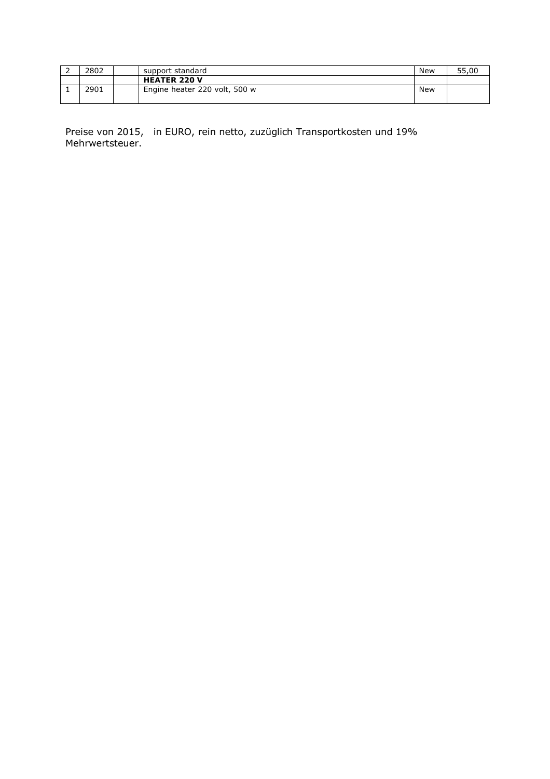| 2802 | support standard              | New | 55,00 |
|------|-------------------------------|-----|-------|
|      | <b>HEATER 220 V</b>           |     |       |
| 2901 | Engine heater 220 volt, 500 w | New |       |

Preise von 2015, in EURO, rein netto, zuzüglich Transportkosten und 19% Mehrwertsteuer.